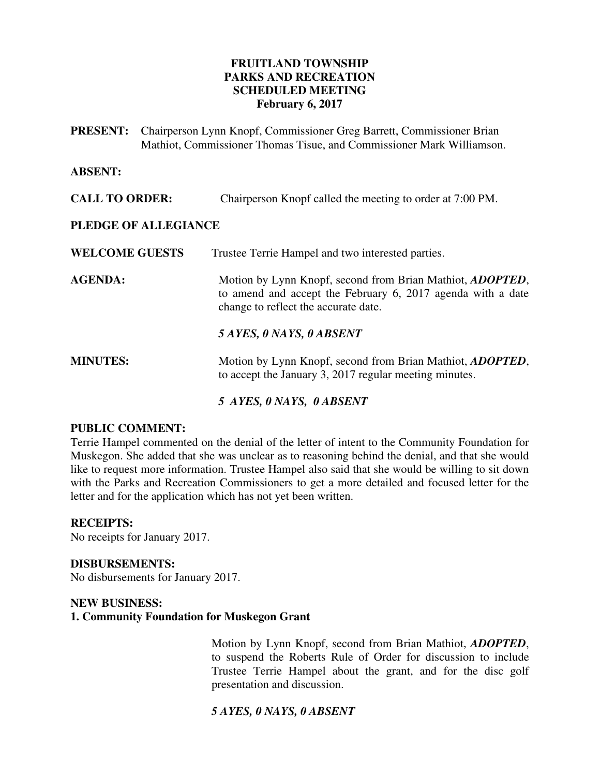## **FRUITLAND TOWNSHIP PARKS AND RECREATION SCHEDULED MEETING February 6, 2017**

| <b>PRESENT:</b> Chairperson Lynn Knopf, Commissioner Greg Barrett, Commissioner Brian |
|---------------------------------------------------------------------------------------|
| Mathiot, Commissioner Thomas Tisue, and Commissioner Mark Williamson.                 |

### **ABSENT:**

| <b>CALL TO ORDER:</b> |  | Chairperson Knopf called the meeting to order at 7:00 PM. |  |
|-----------------------|--|-----------------------------------------------------------|--|
|-----------------------|--|-----------------------------------------------------------|--|

## **PLEDGE OF ALLEGIANCE**

**WELCOME GUESTS** Trustee Terrie Hampel and two interested parties.

**AGENDA:** Motion by Lynn Knopf, second from Brian Mathiot, *ADOPTED*, to amend and accept the February 6, 2017 agenda with a date change to reflect the accurate date.

*5 AYES, 0 NAYS, 0 ABSENT*

# **MINUTES:** Motion by Lynn Knopf, second from Brian Mathiot, *ADOPTED*, to accept the January 3, 2017 regular meeting minutes.

*5 AYES, 0 NAYS, 0 ABSENT* 

## **PUBLIC COMMENT:**

Terrie Hampel commented on the denial of the letter of intent to the Community Foundation for Muskegon. She added that she was unclear as to reasoning behind the denial, and that she would like to request more information. Trustee Hampel also said that she would be willing to sit down with the Parks and Recreation Commissioners to get a more detailed and focused letter for the letter and for the application which has not yet been written.

## **RECEIPTS:**

No receipts for January 2017.

#### **DISBURSEMENTS:**

No disbursements for January 2017.

### **NEW BUSINESS: 1. Community Foundation for Muskegon Grant**

Motion by Lynn Knopf, second from Brian Mathiot, *ADOPTED*, to suspend the Roberts Rule of Order for discussion to include Trustee Terrie Hampel about the grant, and for the disc golf presentation and discussion.

# *5 AYES, 0 NAYS, 0 ABSENT*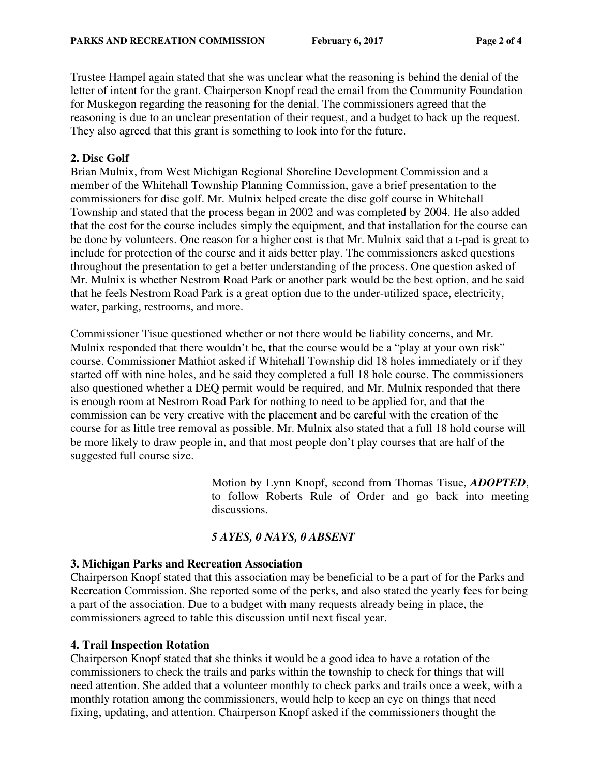Trustee Hampel again stated that she was unclear what the reasoning is behind the denial of the letter of intent for the grant. Chairperson Knopf read the email from the Community Foundation for Muskegon regarding the reasoning for the denial. The commissioners agreed that the reasoning is due to an unclear presentation of their request, and a budget to back up the request. They also agreed that this grant is something to look into for the future.

### **2. Disc Golf**

Brian Mulnix, from West Michigan Regional Shoreline Development Commission and a member of the Whitehall Township Planning Commission, gave a brief presentation to the commissioners for disc golf. Mr. Mulnix helped create the disc golf course in Whitehall Township and stated that the process began in 2002 and was completed by 2004. He also added that the cost for the course includes simply the equipment, and that installation for the course can be done by volunteers. One reason for a higher cost is that Mr. Mulnix said that a t-pad is great to include for protection of the course and it aids better play. The commissioners asked questions throughout the presentation to get a better understanding of the process. One question asked of Mr. Mulnix is whether Nestrom Road Park or another park would be the best option, and he said that he feels Nestrom Road Park is a great option due to the under-utilized space, electricity, water, parking, restrooms, and more.

Commissioner Tisue questioned whether or not there would be liability concerns, and Mr. Mulnix responded that there wouldn't be, that the course would be a "play at your own risk" course. Commissioner Mathiot asked if Whitehall Township did 18 holes immediately or if they started off with nine holes, and he said they completed a full 18 hole course. The commissioners also questioned whether a DEQ permit would be required, and Mr. Mulnix responded that there is enough room at Nestrom Road Park for nothing to need to be applied for, and that the commission can be very creative with the placement and be careful with the creation of the course for as little tree removal as possible. Mr. Mulnix also stated that a full 18 hold course will be more likely to draw people in, and that most people don't play courses that are half of the suggested full course size.

> Motion by Lynn Knopf, second from Thomas Tisue, *ADOPTED*, to follow Roberts Rule of Order and go back into meeting discussions.

## *5 AYES, 0 NAYS, 0 ABSENT*

#### **3. Michigan Parks and Recreation Association**

Chairperson Knopf stated that this association may be beneficial to be a part of for the Parks and Recreation Commission. She reported some of the perks, and also stated the yearly fees for being a part of the association. Due to a budget with many requests already being in place, the commissioners agreed to table this discussion until next fiscal year.

#### **4. Trail Inspection Rotation**

Chairperson Knopf stated that she thinks it would be a good idea to have a rotation of the commissioners to check the trails and parks within the township to check for things that will need attention. She added that a volunteer monthly to check parks and trails once a week, with a monthly rotation among the commissioners, would help to keep an eye on things that need fixing, updating, and attention. Chairperson Knopf asked if the commissioners thought the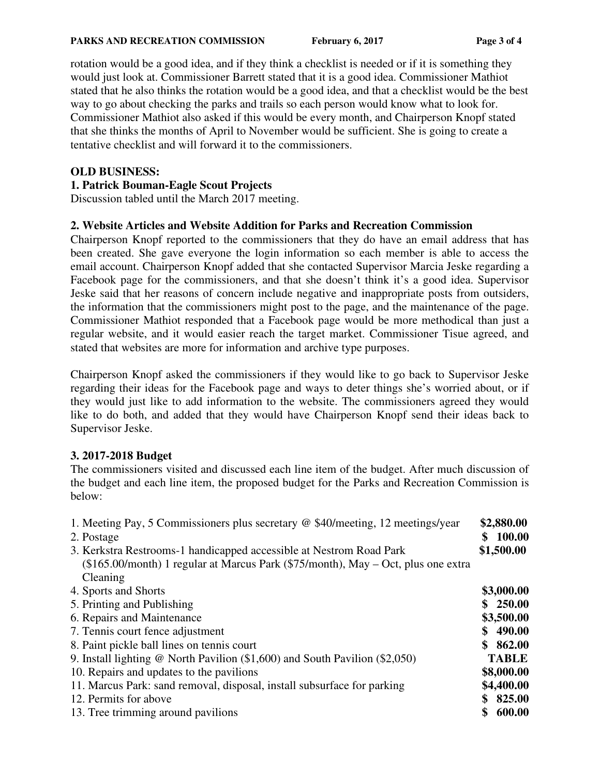#### **PARKS AND RECREATION COMMISSION** February 6, 2017 Page 3 of 4

rotation would be a good idea, and if they think a checklist is needed or if it is something they would just look at. Commissioner Barrett stated that it is a good idea. Commissioner Mathiot stated that he also thinks the rotation would be a good idea, and that a checklist would be the best way to go about checking the parks and trails so each person would know what to look for. Commissioner Mathiot also asked if this would be every month, and Chairperson Knopf stated that she thinks the months of April to November would be sufficient. She is going to create a tentative checklist and will forward it to the commissioners.

## **OLD BUSINESS:**

## **1. Patrick Bouman-Eagle Scout Projects**

Discussion tabled until the March 2017 meeting.

# **2. Website Articles and Website Addition for Parks and Recreation Commission**

Chairperson Knopf reported to the commissioners that they do have an email address that has been created. She gave everyone the login information so each member is able to access the email account. Chairperson Knopf added that she contacted Supervisor Marcia Jeske regarding a Facebook page for the commissioners, and that she doesn't think it's a good idea. Supervisor Jeske said that her reasons of concern include negative and inappropriate posts from outsiders, the information that the commissioners might post to the page, and the maintenance of the page. Commissioner Mathiot responded that a Facebook page would be more methodical than just a regular website, and it would easier reach the target market. Commissioner Tisue agreed, and stated that websites are more for information and archive type purposes.

Chairperson Knopf asked the commissioners if they would like to go back to Supervisor Jeske regarding their ideas for the Facebook page and ways to deter things she's worried about, or if they would just like to add information to the website. The commissioners agreed they would like to do both, and added that they would have Chairperson Knopf send their ideas back to Supervisor Jeske.

# **3. 2017-2018 Budget**

The commissioners visited and discussed each line item of the budget. After much discussion of the budget and each line item, the proposed budget for the Parks and Recreation Commission is below:

| 1. Meeting Pay, 5 Commissioners plus secretary @ \$40/meeting, 12 meetings/year<br>2. Postage<br>3. Kerkstra Restrooms-1 handicapped accessible at Nestrom Road Park |              |
|----------------------------------------------------------------------------------------------------------------------------------------------------------------------|--------------|
| (\$165.00/month) 1 regular at Marcus Park (\$75/month), May – Oct, plus one extra                                                                                    |              |
| Cleaning                                                                                                                                                             |              |
| 4. Sports and Shorts                                                                                                                                                 | \$3,000.00   |
| 5. Printing and Publishing                                                                                                                                           | \$250.00     |
| 6. Repairs and Maintenance                                                                                                                                           | \$3,500.00   |
| 7. Tennis court fence adjustment                                                                                                                                     | \$490.00     |
| 8. Paint pickle ball lines on tennis court                                                                                                                           |              |
| 9. Install lighting $\omega$ North Pavilion (\$1,600) and South Pavilion (\$2,050)                                                                                   |              |
| 10. Repairs and updates to the pavilions                                                                                                                             | \$8,000.00   |
| 11. Marcus Park: sand removal, disposal, install subsurface for parking                                                                                              | \$4,400.00   |
| 12. Permits for above                                                                                                                                                | \$825.00     |
| 13. Tree trimming around pavilions                                                                                                                                   | 600.00<br>\$ |